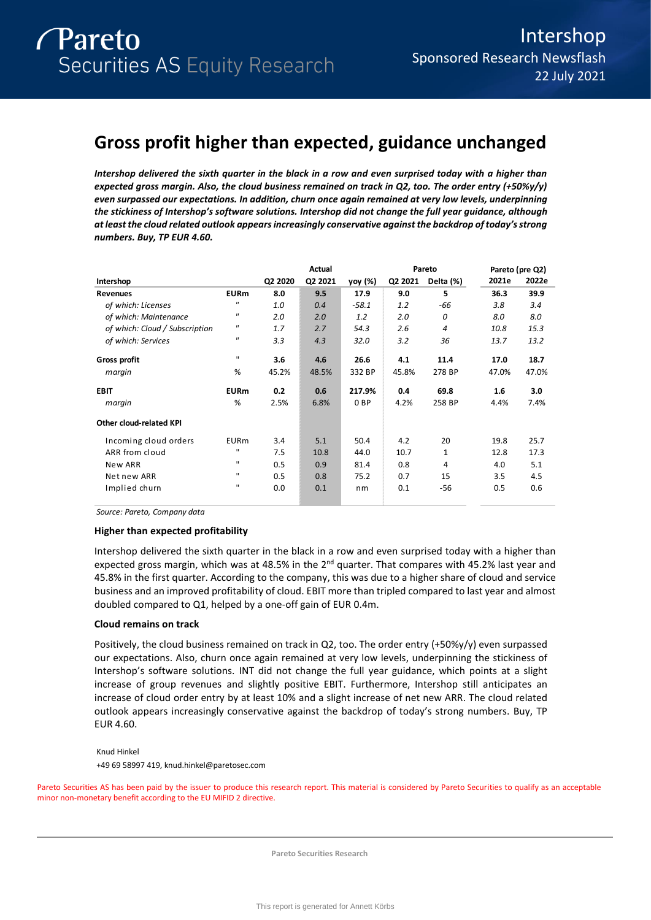# **Gross profit higher than expected, guidance unchanged**

*Intershop delivered the sixth quarter in the black in a row and even surprised today with a higher than expected gross margin. Also, the cloud business remained on track in Q2, too. The order entry (+50%y/y) even surpassed our expectations. In addition, churn once again remained at very low levels, underpinning the stickiness of Intershop's software solutions. Intershop did not change the full year guidance, although at least the cloud related outlook appears increasingly conservative against the backdrop of today's strong numbers. Buy, TP EUR 4.60.* 

|                                |                            |         | Actual  |                 |         | Pareto         | Pareto (pre Q2) |       |
|--------------------------------|----------------------------|---------|---------|-----------------|---------|----------------|-----------------|-------|
| Intershop                      |                            | Q2 2020 | Q2 2021 | yoy (%)         | Q2 2021 | Delta (%)      | 2021e           | 2022e |
| <b>Revenues</b>                | <b>EURm</b>                | 8.0     | 9.5     | 17.9            | 9.0     | 5              | 36.3            | 39.9  |
| of which: Licenses             | $\boldsymbol{\mathsf{u}}$  | 1.0     | 0.4     | $-58.1$         | 1.2     | -66            | 3.8             | 3.4   |
| of which: Maintenance          | $\pmb{\mathsf{II}}$        | 2.0     | 2.0     | 1.2             | 2.0     | 0              | 8.0             | 8.0   |
| of which: Cloud / Subscription | $\pmb{\mathsf{II}}$        | 1.7     | 2.7     | 54.3            | 2.6     | $\overline{4}$ | 10.8            | 15.3  |
| of which: Services             | $\boldsymbol{\mathsf{II}}$ | 3.3     | 4.3     | 32.0            | 3.2     | 36             | 13.7            | 13.2  |
| Gross profit                   | $\mathbf{H}$               | 3.6     | 4.6     | 26.6            | 4.1     | 11.4           | 17.0            | 18.7  |
| margin                         | %                          | 45.2%   | 48.5%   | 332 BP          | 45.8%   | 278 BP         | 47.0%           | 47.0% |
| <b>EBIT</b>                    | <b>EURm</b>                | 0.2     | 0.6     | 217.9%          | 0.4     | 69.8           | 1.6             | 3.0   |
| margin                         | %                          | 2.5%    | 6.8%    | 0 <sub>BP</sub> | 4.2%    | 258 BP         | 4.4%            | 7.4%  |
| <b>Other cloud-related KPI</b> |                            |         |         |                 |         |                |                 |       |
| Incoming cloud orders          | <b>EURm</b>                | 3.4     | 5.1     | 50.4            | 4.2     | 20             | 19.8            | 25.7  |
| ARR from cloud                 | ш                          | 7.5     | 10.8    | 44.0            | 10.7    | $\mathbf{1}$   | 12.8            | 17.3  |
| New ARR                        | $\mathbf{H}$               | 0.5     | 0.9     | 81.4            | 0.8     | 4              | 4.0             | 5.1   |
| Net new ARR                    | $\mathbf{H}$               | 0.5     | 0.8     | 75.2            | 0.7     | 15             | 3.5             | 4.5   |
| Implied churn                  | $\mathbf{H}$               | 0.0     | 0.1     | nm              | 0.1     | -56            | 0.5             | 0.6   |

*Source: Pareto, Company data*

## **Higher than expected profitability**

Intershop delivered the sixth quarter in the black in a row and even surprised today with a higher than expected gross margin, which was at 48.5% in the 2<sup>nd</sup> quarter. That compares with 45.2% last year and 45.8% in the first quarter. According to the company, this was due to a higher share of cloud and service business and an improved profitability of cloud. EBIT more than tripled compared to last year and almost doubled compared to Q1, helped by a one-off gain of EUR 0.4m.

## **Cloud remains on track**

Positively, the cloud business remained on track in Q2, too. The order entry (+50%y/y) even surpassed our expectations. Also, churn once again remained at very low levels, underpinning the stickiness of Intershop's software solutions. INT did not change the full year guidance, which points at a slight increase of group revenues and slightly positive EBIT. Furthermore, Intershop still anticipates an increase of cloud order entry by at least 10% and a slight increase of net new ARR. The cloud related outlook appears increasingly conservative against the backdrop of today's strong numbers. Buy, TP EUR 4.60.

Knud Hinkel +49 69 58997 419, knud.hinkel@paretosec.com

Pareto Securities AS has been paid by the issuer to produce this research report. This material is considered by Pareto Securities to qualify as an acceptable minor non-monetary benefit according to the EU MIFID 2 directive.

**Pareto Securities Research**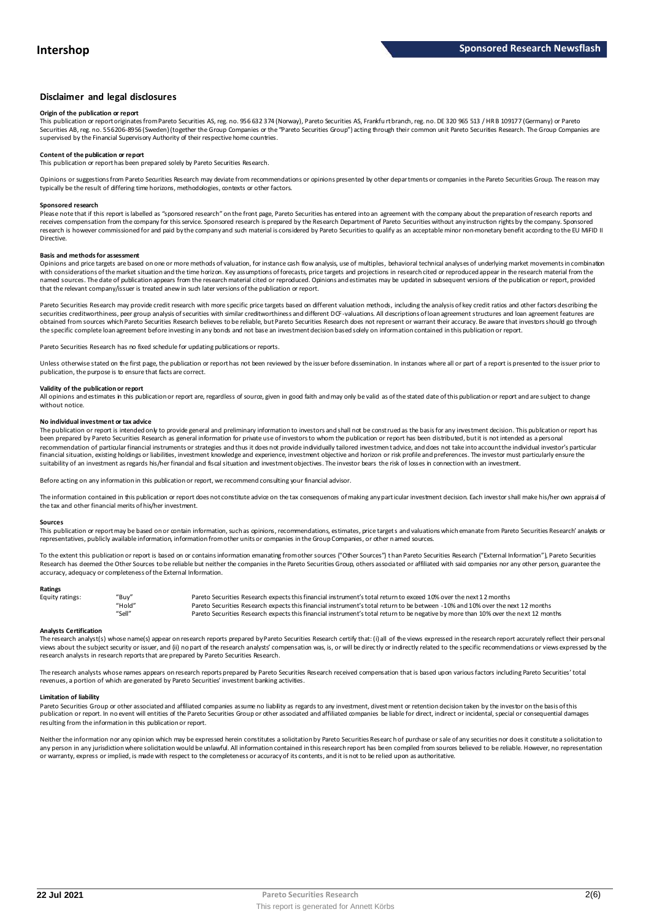## **Disclaimer and legal disclosures**

#### **Origin of the publication or report**

This publication or report originates from Pareto Securities AS, reg. no. 956 632 374 (Norway), Pareto Securities AS, Frankfu rt branch, reg. no. DE 320 965 513 / HR B 109177 (Germany) or Pareto Securities AB, reg. no. 556206-8956 (Sweden) (together the Group Companies or the "Pareto Securities Group") acting through their common unit Pareto Securities Research. The Group Companies are<br>supervised by the Financial

## **Content of the publication or report**

This publication or report has been prepared solely by Pareto Securities Research.

Opinions or suggestions from Pareto Securities Research may deviate from recommendations or opinions presented by other departments or companies in the Pareto Securities Group. The reason may typically be the result of differing time horizons, methodologies, contexts or other factors.

#### **Sponsored research**

Please note that if this report is labelled as "sponsored research" on the front page, Pareto Securities has entered into an agreement with the company about the preparation of research reports and<br>receives compensation fr research is however commissioned for and paid by the company and such material is considered by Pareto Securities to qualify as an acceptable minor non-monetary benefit according to the EU MiFID II Directive.

#### **Basis and methods for assessment**

Opinions and price targets are based on one or more methods of valuation, for instance cash flow analysis, use of multiples, behavioral technical analyses of underlying market movements in combination with considerations of the market situation and the time horizon. Key assumptions of forecasts, price targets and projections in research cited or reproduced appear in the research material from the named sources. The date of publication appears from the research material cited or reproduced. Opinions and estimates may be updated in subsequent versions of the publication or report, provided that the relevant company/issuer is treated anew in such later versions of the publication or report.

Pareto Securities Research may provide credit research with more specific price targets based on different valuation methods, including the analysis of key credit ratios and other factors describing the securities creditworthiness, peer group analysis of securities with similar creditworthiness and different DCF-valuations. All descriptions of loan agreement structures and loan agreement features are obtained from sources which Pareto Securities Research believes to be reliable, but Pareto Securities Research does not represent or warrant their accuracy. Be aware that investors should go through the specific complete loan agreement before investing in any bonds and not base an investment decision based solely on information contained in this publication or report.

Pareto Securities Research has no fixed schedule for updating publications or reports.

Unless otherwise stated on the first page, the publication or report has not been reviewed by the issuer before dissemination. In instances where all or part of a report is presented to the issuer prior to publication, the purpose is to ensure that facts are correct.

### **Validity of the publication or report**

All opinions and estimates in this publication or report are, regardless of source, given in good faith and may only be valid as of the stated date of this publication or report and are subject to change without notice

#### **No individual investment or tax advice**

The publication or report is intended only to provide general and preliminary information to investors and shall not be construed as the basis for any investment decision. This publication or report has<br>been prepared by Pa recommendation of particular financial instruments or strategies and thus it does not provide individually tailored investmen t advice, and does not take into account the individual investor's particular financial situation, existing holdings or liabilities, investment knowledge and experience, investment objective and horizon or risk profile and preferences. The investor must particularly ensure the suitability of an investment as regards his/her financial and fiscal situation and investment objectives. The investor bears the risk of losses in connection with an investment.

Before acting on any information in this publication or report, we recommend consulting your financial advisor.

The information contained in this publication or report does not constitute advice on the tax consequences of making any particular investment decision. Each investor shall make his/her own appraisal of the tax and other financial merits of his/her investment.

#### **Sources**

This publication or report may be based on or contain information, such as opinions, recommendations, estimates, price targets and valuations which emanate from Pareto Securities Research' analysts or representatives, publicly available information, information from other units or companies in the Group Companies, or other named sources.

To the extent this publication or report is based on or contains information emanating from other sources ("Other Sources") than Pareto Securities Research ("External Information"), Pareto Securities Research has deemed the Other Sources to be reliable but neither the companies in the Pareto Securities Group, others associated or affiliated with said companies nor any other person, guarantee the accuracy, adequacy or completeness of the External Information.

#### **Ratings**

| Equity ratings: | "Buy"  | Pareto Securities Research expects this financial instrument's total return to exceed 10% over the next 12 months                   |
|-----------------|--------|-------------------------------------------------------------------------------------------------------------------------------------|
|                 | "Hold" | Pareto Securities Research expects this financial instrument's total return to be between -10% and 10% over the next 12 months      |
|                 | "Sell" | Pareto Securities Research expects this financial instrument's total return to be negative by more than 10% over the next 12 months |

**Analysts Certification**<br>The research analystis) whose name(s) appear on research reports prepared by Pareto Securities Research certify that: (i) all of the views expressed in the research report accurately reflect their "Hold"<br>Pareto Securities Research expects this financial instrument's total return to be between -10% and 10% over the next 12 months<br>Analysts Certification<br>The research analyst(s) whose name(s) appear on research reports research analysts in research reports that are prepared by Pareto Securities Research.

The research analysts whose names appears on research reports prepared by Pareto Securities Research received compensation that is based upon various factors including Pareto Securities' total revenues, a portion of which are generated by Pareto Securities' investment banking activities.

#### **Limitation of liability**

Pareto Securities Group or other associated and affiliated companies assume no liability as regards to any investment, divest ment or retention decision taken by the investor on the basis of this publication or report. In no event will entities of the Pareto Securities Group or other associated and affiliated companies be liable for direct, indirect or incidental, special or consequential damages resulting from the information in this publication or report.

Neither the information nor any opinion which may be expressed herein constitutes a solicitation by Pareto Securities Research of purchase or sale of any securities nor does it constitute a solicitation to any person in any jurisdiction where solicitation would be unlawful. All information contained in this research report has been compiled from sources believed to be reliable. However, no representation or warranty, express or implied, is made with respect to the completeness or accuracy of its contents, and it is not to be relied upon as authoritative.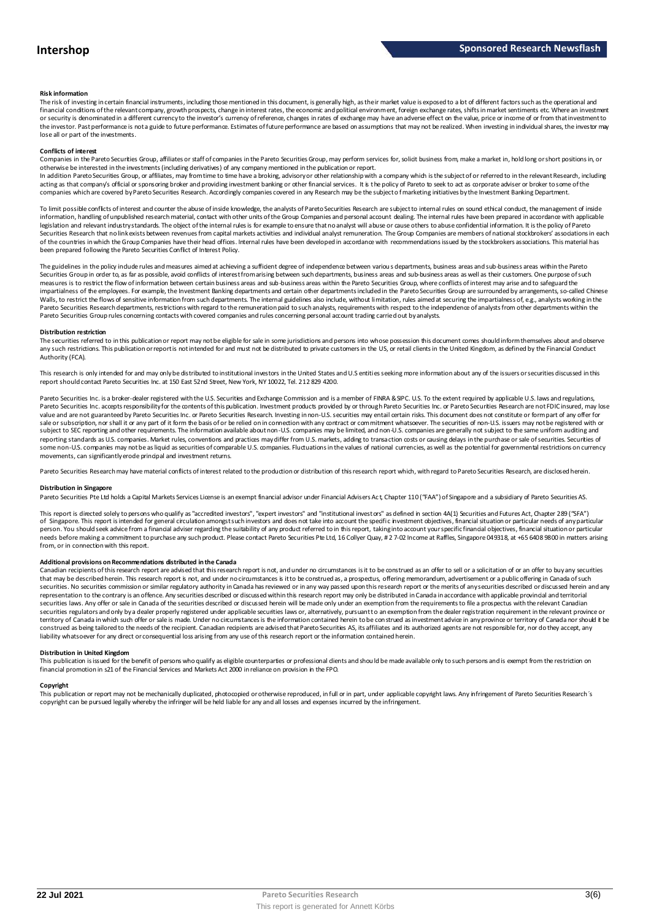#### **Risk information**

The risk of investing in certain financial instruments, including those mentioned in this document, is generally high, as their market value is exposed to a lot of different factors such as the operational and financial conditions of the relevant company, growth prospects, change in interest rates, the economic and political environment, foreign exchange rates, shifts in market sentiments etc. Where an investment or security is denominated in a different currency to the investor's currency of reference, changes in rates of exchange may have an adverse effect on the value, price or income of or from that investment to the investor. Past performance is not a guide to future performance. Estimates of future performance are based on assumptions that may not be realized. When investing in individual shares, the investor may lose all or part of the investments.

#### **Conflicts of interest**

Companies in the Pareto Securities Group, affiliates or staff of companies in the Pareto Securities Group, may perform services for, solicit business from, make a market in, hold long or short positions in, or otherwise be interested in the investments (including derivatives) of any company mentioned in the publication or report.<br>In addition Pareto Securities Group, or affiliates, may from time to time have a broking, advisory o

acting as that company's official or sponsoring broker and providing investment banking or other financial services. It is the policy of Pareto to seek to act as corporate adviser or broker to some of the companies which are covered by Pareto Securities Research. Accordingly companies covered in any Research may be the subject o f marketing initiatives by the Investment Banking Department.

To limit possible conflicts of interest and counter the abuse of inside knowledge, the analysts of Pareto Securities Research are subject to internal rules on sound ethical conduct, the management of inside information, handling of unpublished research material, contact with other units of the Group Companies and personal account dealing. The internal rules have been prepared in accordance with applicable legislation and relevant industry standards. The object of the internal rules is for example to ensure that no analyst will abuse or cause others to abuse confidential information. It is the policy of Pareto Securities Research that no link exists between revenues from capital markets activities and individual analyst remuneration. The Group Companies are members of national stockbrokers' associations in each of the countries in which the Group Companies have their head offices. Internal rules have been developed in accordance with recommendations issued by the stockbrokers associations. This material has been prepared following the Pareto Securities Conflict of Interest Policy.

The guidelines in the policy indude rules and measures aimed at achieving a sufficient degree of independence between various departments, business areas and sub-business areas within the Pareto Securities Group in order to, as far as possible, avoid conflicts of interest from arising between such departments, business areas and sub-business areas as well as their customers. One purpose of such measures is to restrict the flow of information between certain business areas and sub-business areas within the Pareto Securities Group, where conflicts of interest may arise and to safeguard the inpartialness of the empl The guidelines in the policy indude rules and measures aimed at achieving a sufficient degree of independence between various departments, business areas and sub-business areas within the Pareto<br>Securities Group in order t Pareto Securities Group rules concerning contacts with covered companies and rules concerning personal account trading carried out by analysts.

#### **Distribution restriction**

The securities referred to in this publication or report may not be eligible for sale in some jurisdictions and persons into whose possession this document comes should inform themselves about and observe Pareto Securities Group rules concerning contacts with covered companies and rules concerning personal account trading carried out by analysts.<br>Distribution restriction<br>The securities referred to in this publication or rep Authority (FCA).

This research is only intended for and may only be distributed to institutional investors in the United States and U.S entities seeking more information about any of the issuers or securities discussed in this report should contact Pareto Securities Inc. at 150 East 52nd Street, New York, NY 10022, Tel. 212 829 4200.

Pareto Securities Inc. is a broker-dealer registered with the U.S. Securities and Exchange Commission and is a member of FINRA & SIPC. U.S. To the extent required by applicable U.S. laws and regulations, Pareto Securities Inc. accepts responsibilityfor the contents of this publication. Investment products provided by or through Pareto Securities Inc. or Pareto Securities Research are not FDIC insured, may lose<br>value and ar sale or subscription, nor shall it or any part of it form the basis of or be relied on in connection with any contract or commitment whatsoever. The securities of non-U.S. issuers may not be registered with or subject to SEC reporting and other requirements. The information available about non-U.S. companies may be limited, and non-U.S. companies are generally not subject to the same unifom auditing and<br>reporting standards as U some non-U.S. companies may not be as liquid as securities of comparable U.S. companies. Fluctuations in the values of national currencies, as well as the potential for governmental restrictions on currency movements, can significantly erode principal and investment returns.

Pareto Securities Research may have material conflicts of interest related to the production or distribution of this research report which, with regard to Pareto Securities Research, are disclosed herein.

#### **Distribution in Singapore**

Pareto Securities Pte Ltd holds a Capital Markets Services License is an exempt financial advisor under Financial Advisers Ac t, Chapter 110 ("FAA") of Singapore and a subsidiary of Pareto Securities AS.

This report is directed solely to persons who qualify as "accredited investors", "expert investors" and "institutional investors" as defined in section 4A(1) Securities and Futures Act, Chapter 289 ("SFA") **Distribution in Singapore**<br>Pareto Securities Pte Ltd holds a Capital Markets Services License is an exempt financial advisor under Financial Advisers Act, Chapter 110 ("FAA") of Singapore and a subsidiary of Pareto Securi person. You should seek advice from a financial adviser regarding the suitability of any product referred to in this report, taking into account your specific financial objectives, financial situation or particular needs before making a commitment to purchase any such product. Please contact Pareto Securities Pte Ltd, 16 Collyer Quay, # 2 7-02 Income at Raffles, Singapore 049318, at +65 6408 9800 in matters arising<br>from, or in connec needs before making a commitment to purchase any such product. Please contact Pareto Securities Pte Ltd, 16 Collyer Quay, # 2 7-02 Income at Raffles, Singapore 049318, at +65 6408 9800 in matters arisin<br>from, or in connect

#### **Additional provisions on Recommendations distributed in the Canada**

That may be described herein. This research report are advised that this research report is not, and under no circumstances is it to be construed as an offer to sell or a solicitation of or an offer to buy any securities<br>t securities. No securities commission or similar regulatory authority in Canada has reviewed or in any way passed upon this research report or the merits of any securities described or discussed herein and any representation to the contrary is an offence. Any securities described or discussed within this research report may only be distributed in Canada in accordance with applicable provincial and territorial securities laws. Any offer or sale in Canada of the securities described or discussed herein will be made only under an exemption from the requirements to file a prospectus with the relevant Canadian securities regulators and only bya dealer properly registered under applicable securities laws or, alternatively, pursuant to an exemption from the dealer registration requirement in the relevant province or<br>territory of C construed as being tailored to the needs of the recipient. Canadian recipients are advised that Pareto Securities AS, its affiliates and its authorized agents are not responsible for, nor do they accept, any liability whatsoever for any direct or consequential loss arising from any use of this research report or the information contained herein.

#### **Distribution in United Kingdom**

financial promotion in s21 of the Financial Services and Markets Act 2000 in reliance on provision in the FPO.

This publication is issued for the benefit of persons who qualify as eligible counterparties or professional dients and should be made available only to such persons and is exempt from the restriction on<br>financial promotio **Copyright**<br>This publication or report may not be mechanically duplicated, photomoied or otherwise reproduced, in full or in part, under annlicable copyright laws. Any infringement of Pareto Sequities Research's copyright can be pursued legally whereby the infringer will be held liable for any and all losses and expenses incurred by the infringement.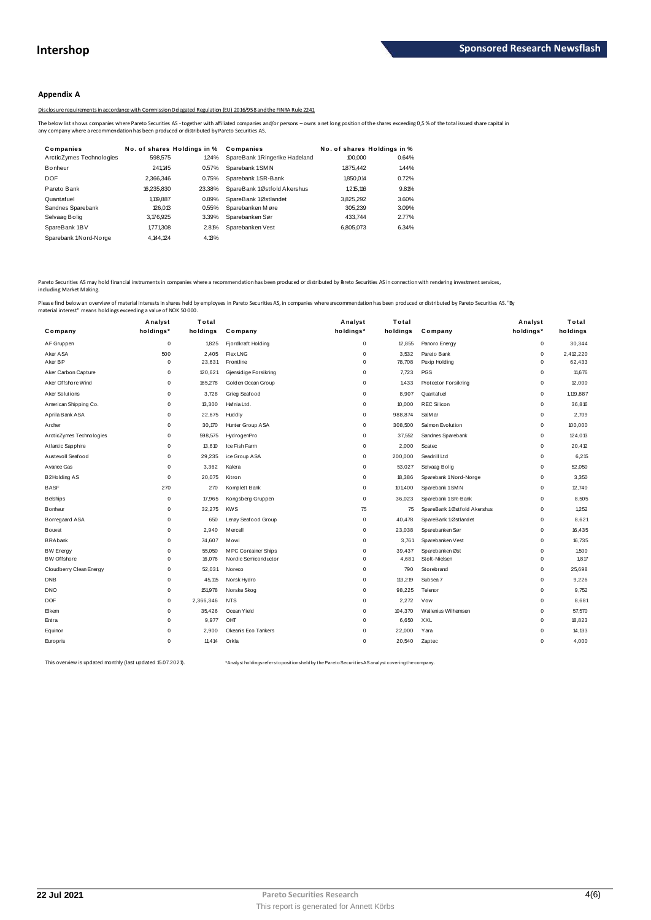## **Appendix A**

Disclosure requirements in accordance with Commission Delegated Regulation (EU) 2016/958 and the FINRA Rule 2241

|                                                                                              |                                       |        | Disclosure requirements in accordance with Commission Delegated Regulation (EU) 2016/958 and the FINRA Rule 2241                                                                                           |                             |       |  |
|----------------------------------------------------------------------------------------------|---------------------------------------|--------|------------------------------------------------------------------------------------------------------------------------------------------------------------------------------------------------------------|-----------------------------|-------|--|
| any company where a recommendation has been produced or distributed by Pareto Securities AS. |                                       |        | The below list shows companies where Pareto Securities AS - together with affiliated companies and/or persons - owns a net long position of the shares exceeding 0,5% of the total issued share capital in |                             |       |  |
| Companies                                                                                    | No. of shares Holdings in % Companies |        |                                                                                                                                                                                                            | No. of shares Holdings in % |       |  |
| ArcticZymes Technologies                                                                     | 598,575                               | 1.24%  | SpareBank 1Ringerike Hadeland                                                                                                                                                                              | 100,000                     | 0.64% |  |
| Bonheur                                                                                      | 241.145                               | 0.57%  | Sparebank 1SMN                                                                                                                                                                                             | 1875.442                    | 1.44% |  |
| <b>DOF</b>                                                                                   | 2.366.346                             | 0.75%  | Sparebank 1SR-Bank                                                                                                                                                                                         | 1.850.014                   | 0.72% |  |
| Pareto Bank                                                                                  | 16.235.830                            | 23.38% | SpareBank 1Østfold Akershus                                                                                                                                                                                | 1.215.116                   | 9.81% |  |
| Quantafuel                                                                                   | 1.119.887                             | 0.89%  | SpareBank 1Østlandet                                                                                                                                                                                       | 3,825,292                   | 3.60% |  |
| Sandnes Sparebank                                                                            | 126.013                               | 0.55%  | Sparebanken Møre                                                                                                                                                                                           | 305.239                     | 3.09% |  |
| Selvaag Bolig                                                                                | 3,176,925                             | 3.39%  | Sparebanken Sør                                                                                                                                                                                            | 433.744                     | 2.77% |  |
| SpareBank 1BV                                                                                | 1,771,308                             | 2.81%  | Sparebanken Vest                                                                                                                                                                                           | 6.805.073                   | 6.34% |  |
| Sparebank 1Nord-Norge                                                                        | 4.144.124                             | 4.13%  |                                                                                                                                                                                                            |                             |       |  |

Pareto Securities AS may hold financial instruments in companies where a recommendation has been produced or distributed by Breto Securities AS in connection with rendering investment services, including Market Making.

|                          | Analyst     | Total     |                       | Analyst     | Total    |                             | Analyst     | Total     |
|--------------------------|-------------|-----------|-----------------------|-------------|----------|-----------------------------|-------------|-----------|
| Company                  | holdings*   | holdings  | Company               | holdings*   | holdings | Company                     | holdings*   | holdings  |
| AF Gruppen               | $\mathsf 0$ | 1,825     | Fjordkraft Holding    | 0           | 12,855   | Panoro Energy               | $\mathsf 0$ | 30,344    |
| Aker ASA                 | 500         | 2,405     | <b>Flex LNG</b>       | $\mathbf 0$ | 3.532    | Pareto Bank                 | $\mathbf 0$ | 2,412,220 |
| Aker BP                  | 0           | 23,631    | Frontline             | $\Omega$    | 78,708   | Pexip Holding               | $^{\circ}$  | 62,433    |
| Aker Carbon Capture      | 0           | 120,621   | Gjensidige Forsikring | $\mathbf 0$ | 7,723    | PGS                         | $\mathsf 0$ | 11,676    |
| Aker Offshore Wind       | 0           | 165,278   | Golden Ocean Group    | $\mathbf 0$ | 1.433    | <b>Protector Forsikring</b> | $\mathbf 0$ | 12.000    |
| Aker Solutions           | 0           | 3,728     | Grieg Seafood         | $\Omega$    | 8,907    | Quantafuel                  | 0           | 1,119,887 |
| American Shipping Co.    | 0           | 13,300    | Hafnia Ltd.           | $\Omega$    | 10,000   | <b>REC Silicon</b>          | $\mathbf 0$ | 36,816    |
| Aprila Bank ASA          | 0           | 22,675    | Huddly                | $\Omega$    | 988,874  | SalM ar                     | $\mathbf 0$ | 2,709     |
| Archer                   | 0           | 30,170    | Hunter Group ASA      | $\Omega$    | 308,500  | Salmon Evolution            | 0           | 100,000   |
| ArcticZymes Technologies | 0           | 598,575   | HydrogenPro           | $\Omega$    | 37,552   | Sandnes Sparebank           | $\Omega$    | 124,013   |
| Atlantic Sapphire        | 0           | 13.610    | Ice Fish Farm         | $\Omega$    | 2.000    | Scatec                      | $^{\circ}$  | 20,412    |
| Austevoll Seafood        | 0           | 29,235    | ice Group ASA         | $\Omega$    | 200,000  | Seadrill Ltd                | $\mathbf 0$ | 6,215     |
| A vance Gas              | 0           | 3,362     | Kalera                | $\mathbf 0$ | 53,027   | Selvaag Bolig               | $\mathbf 0$ | 52,050    |
| <b>B2Holding AS</b>      | $\mathbf 0$ | 20,075    | Kitron                | $\mathbf 0$ | 18,386   | Sparebank 1 Nord-Norge      | $^{\circ}$  | 3,350     |
| <b>BASF</b>              | 270         | 270       | Komplett Bank         | $\mathbf 0$ | 101,400  | Sparebank 1 SM N            | $\mathbf 0$ | 12,740    |
| <b>Belships</b>          | 0           | 17,965    | Kongsberg Gruppen     | $\Omega$    | 36,023   | Sparebank 1 SR-Bank         | $\Omega$    | 8,505     |
| Bonheur                  | 0           | 32,275    | <b>KWS</b>            | 75          | 75       | SpareBank 1Østfold Akershus | $\mathsf 0$ | 1,252     |
| Borregaard ASA           | 0           | 650       | Lerøy Seafood Group   | $\mathbf 0$ | 40,478   | SpareBank 1Østlandet        | $\mathbf 0$ | 8,621     |
| <b>Bouvet</b>            | 0           | 2,940     | M ercell              | $\Omega$    | 23,038   | Sparebanken Sør             | $^{\circ}$  | 16,435    |
| <b>BRAbank</b>           | 0           | 74,607    | Mowi                  | $\mathbf 0$ | 3,761    | Sparebanken Vest            | $\Omega$    | 16,735    |
| <b>BW Energy</b>         | 0           | 55.050    | MPC Container Ships   | $\mathbf 0$ | 39.437   | Sparebanken Øst             | $\mathbf 0$ | 1.500     |
| <b>BW Offshore</b>       | 0           | 16,076    | Nordic Semiconductor  | $\mathbf 0$ | 4,681    | Stolt-Nielsen               | $\mathbf 0$ | 1.817     |
| Cloudberry Clean Energy  | 0           | 52,031    | Noreco                | $\Omega$    | 790      | Storebrand                  | $\mathbf 0$ | 25,698    |
| <b>DNB</b>               | 0           | 45,115    | Norsk Hydro           | $\mathbf 0$ | 113,219  | Subsea 7                    | $\mathbf 0$ | 9,226     |
| <b>DNO</b>               | 0           | 151,978   | Norske Skog           | $\mathbf 0$ | 98,225   | Telenor                     | $\mathbf 0$ | 9,752     |
| <b>DOF</b>               | 0           | 2,366,346 | <b>NTS</b>            | $\Omega$    | 2,272    | Vow                         | $\mathbf 0$ | 8,681     |
| Elkem                    | 0           | 35,426    | Ocean Yield           | $\mathbf 0$ | 104,370  | Wallenius Wilhemsen         | $\mathbf 0$ | 57,570    |
| Entra                    | 0           | 9,977     | OHT                   | $\mathbf 0$ | 6,650    | XXL                         | $\mathbf 0$ | 18,823    |
| Equinor                  | 0           | 2,900     | Okeanis Eco Tankers   | $\Omega$    | 22,000   | Yara                        | $\Omega$    | 14,133    |
| Europris                 | 0           | 11,414    | Orkla                 | $\mathbf 0$ | 20,540   | Zaptec                      | $\mathbf 0$ | 4,000     |

This overview is updated monthly (last updated 15.07.2021). \*\*\* Analyst holdingsrefersto positions held by the Pareto Securities AS analyst covering the company.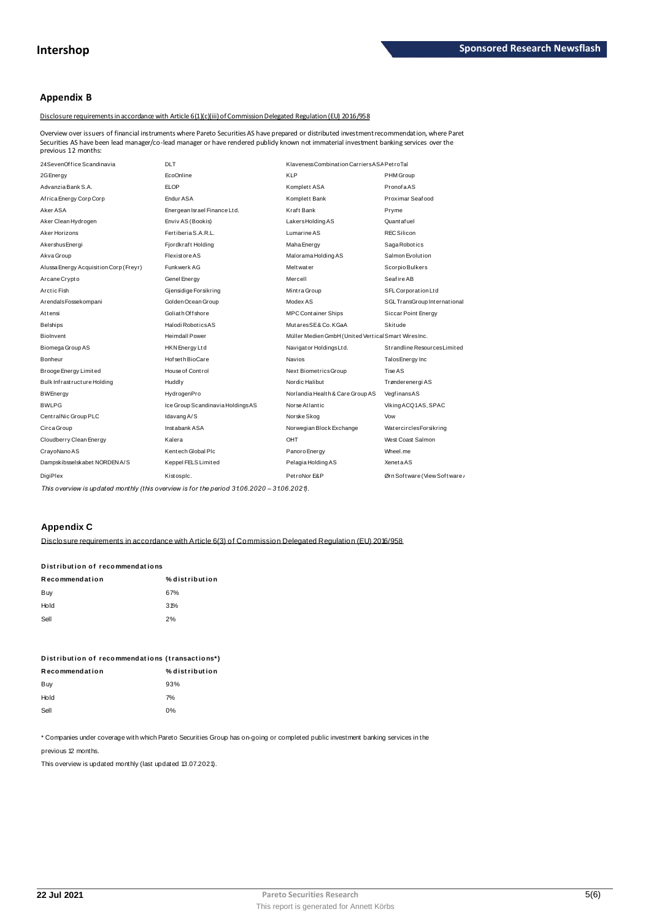## **Appendix B**

Disclosure requirements in accordance with Article 6(1)(c)(iii) of Commission Delegated Regulation (EU) 2016/958

Overview over issuers of financial instruments where Pareto Securities AS have prepared or distributed investment recommendation, where Paret Securities AS have been lead manager/co-lead manager or have rendered publicly known not immaterial investment banking services over the previous 12 months:

| 24SevenOffice Scandinavia              | <b>DLT</b>                       | Klaveness Combination Carriers ASA PetroTal         |                               |
|----------------------------------------|----------------------------------|-----------------------------------------------------|-------------------------------|
| 2G Energy                              | <b>EcoOnline</b>                 | <b>KLP</b>                                          | PHM Group                     |
| Advanzia Bank S.A.                     | <b>ELOP</b>                      | Komplett ASA                                        | PronofaAS                     |
| Africa Energy Corp Corp                | Endur ASA                        | Komplett Bank                                       | Proximar Seafood              |
| Aker ASA                               | Energean Israel Finance Ltd.     | Kraft Bank                                          | Pryme                         |
| Aker Clean Hydrogen                    | Enviv AS (Bookis)                | Lakers Holding AS                                   | Quant af uel                  |
| Aker Horizons                          | Fertiberia S.A.R.L.              | Lumarine AS                                         | <b>RECSilicon</b>             |
| AkershusEnergi                         | Fjordkraft Holding               | Maha Energy                                         | Saga Robotics                 |
| Akva Group                             | <b>Flexistore AS</b>             | Malorama Holding AS                                 | Salmon Evolution              |
| Alussa Energy Acquisition Corp (Freyr) | Funkwerk AG                      | Meltwater                                           | Scorpio Bulkers               |
| Arcane Crypto                          | Genel Energy                     | Mercell                                             | Seafire AB                    |
| Arctic Fish                            | Gjensidige Forsikring            | Mintra Group                                        | SFL Corporation Ltd           |
| ArendalsFossekompani                   | Golden Ocean Group               | Modex AS                                            | SGL TransGroup International  |
| Attensi                                | Goliath Offshore                 | <b>MPC Container Ships</b>                          | Siccar Point Energy           |
| <b>Belships</b>                        | Halodi RoboticsAS                | MutaresSE&Co.KGaA                                   | Skitude                       |
| Biolnvent                              | <b>Heimdall Power</b>            | Müller Medien GmbH (United Vertical Smart WiresInc. |                               |
| Biomega Group AS                       | HKN Energy Ltd                   | Navigator HoldingsLtd.                              | Strandline Resources Limited  |
| Bonheur                                | Hof set h BioCare                | <b>Navios</b>                                       | Talos Energy Inc              |
| Brooge Energy Limited                  | House of Control                 | Next BiometricsGroup                                | Tise AS                       |
| Bulk Infrastructure Holding            | Huddly                           | Nordic Halibut                                      | Trønderenergi AS              |
| <b>BWEnergy</b>                        | HydrogenPro                      | Norlandia Health & Care Group AS                    | VegfinansAS                   |
| <b>BWLPG</b>                           | Ice Group Scandinavia HoldingsAS | Norse Atlantic                                      | Viking ACQ1AS, SPAC           |
| CentralNic Group PLC                   | Idavang A/S                      | Norske Skog                                         | Vow                           |
| Circa Group                            | Inst abank ASA                   | Norwegian Block Exchange                            | <b>WatercirclesForsikring</b> |
| Cloudberry Clean Energy                | Kalera                           | OHT                                                 | West Coast Salmon             |
| CrayoNano AS                           | Kentech Global Plc               | Panoro Energy                                       | Wheel.me                      |
| Dampskibsselskabet NORDEN A/S          | Keppel FELS Limited              | Pelagia Holding AS                                  | XenetaAS                      |
| DigiPlex                               | Kistosplc.                       | PetroNor E&P                                        | Ørn Software (View Software)  |

This overview is updated monthly (this overview is for the period 31.06.2020 – 31.06.2021).

## **Appendix C**

Disclosure requirements in accordance with Article 6(3) of Commission Delegated Requlation (EU) 2016/958

| Distribution of recommendations |                |  |  |  |  |
|---------------------------------|----------------|--|--|--|--|
| Recommendation                  | % distribution |  |  |  |  |
| Buy                             | 67%            |  |  |  |  |
| Hold                            | 31%            |  |  |  |  |
| Sell                            | 2%             |  |  |  |  |

| Distribution of recommendations (transactions*) |                |  |  |  |  |
|-------------------------------------------------|----------------|--|--|--|--|
| Recommendation                                  | % distribution |  |  |  |  |
| Buy                                             | 93%            |  |  |  |  |
| Hold                                            | 7%             |  |  |  |  |
| Sell                                            | በ%             |  |  |  |  |

\* Companies under coverage with which Pareto Securities Group has on-going or completed public investment banking services in the

previous 12 months.

This overview is updated monthly (last updated 13.07.2021).